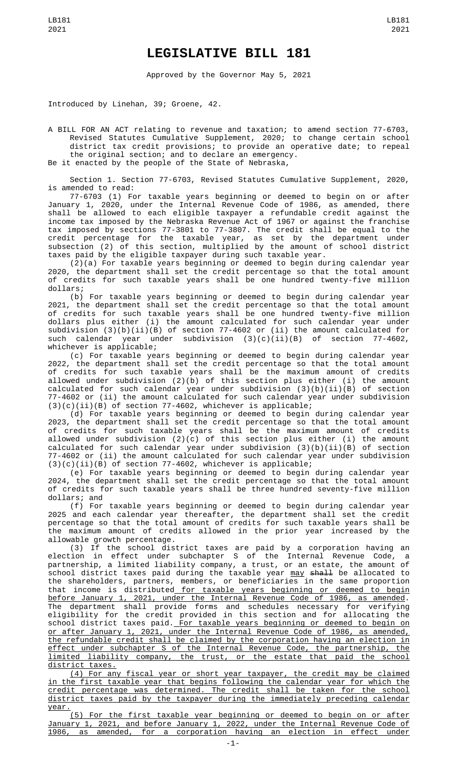## **LEGISLATIVE BILL 181**

Approved by the Governor May 5, 2021

Introduced by Linehan, 39; Groene, 42.

A BILL FOR AN ACT relating to revenue and taxation; to amend section 77-6703, Revised Statutes Cumulative Supplement, 2020; to change certain school district tax credit provisions; to provide an operative date; to repeal the original section; and to declare an emergency. Be it enacted by the people of the State of Nebraska,

Section 1. Section 77-6703, Revised Statutes Cumulative Supplement, 2020, is amended to read:

77-6703 (1) For taxable years beginning or deemed to begin on or after January 1, 2020, under the Internal Revenue Code of 1986, as amended, there shall be allowed to each eligible taxpayer a refundable credit against the income tax imposed by the Nebraska Revenue Act of 1967 or against the franchise tax imposed by sections 77-3801 to 77-3807. The credit shall be equal to the credit percentage for the taxable year, as set by the department under subsection (2) of this section, multiplied by the amount of school district taxes paid by the eligible taxpayer during such taxable year.

(2)(a) For taxable years beginning or deemed to begin during calendar year 2020, the department shall set the credit percentage so that the total amount of credits for such taxable years shall be one hundred twenty-five million dollars;

(b) For taxable years beginning or deemed to begin during calendar year 2021, the department shall set the credit percentage so that the total amount of credits for such taxable years shall be one hundred twenty-five million dollars plus either (i) the amount calculated for such calendar year under subdivision (3)(b)(ii)(B) of section 77-4602 or (ii) the amount calculated for such calendar year under subdivision (3)(c)(ii)(B) of section 77-4602, whichever is applicable;

(c) For taxable years beginning or deemed to begin during calendar year 2022, the department shall set the credit percentage so that the total amount of credits for such taxable years shall be the maximum amount of credits allowed under subdivision (2)(b) of this section plus either (i) the amount calculated for such calendar year under subdivision (3)(b)(ii)(B) of section 77-4602 or (ii) the amount calculated for such calendar year under subdivision (3)(c)(ii)(B) of section 77-4602, whichever is applicable;

(d) For taxable years beginning or deemed to begin during calendar year 2023, the department shall set the credit percentage so that the total amount of credits for such taxable years shall be the maximum amount of credits allowed under subdivision (2)(c) of this section plus either (i) the amount calculated for such calendar year under subdivision (3)(b)(ii)(B) of section 77-4602 or (ii) the amount calculated for such calendar year under subdivision (3)(c)(ii)(B) of section 77-4602, whichever is applicable;

(e) For taxable years beginning or deemed to begin during calendar year 2024, the department shall set the credit percentage so that the total amount of credits for such taxable years shall be three hundred seventy-five million dollars; and

(f) For taxable years beginning or deemed to begin during calendar year 2025 and each calendar year thereafter, the department shall set the credit percentage so that the total amount of credits for such taxable years shall be the maximum amount of credits allowed in the prior year increased by the allowable growth percentage.

(3) If the school district taxes are paid by a corporation having an election in effect under subchapter S of the Internal Revenue Code, a partnership, a limited liability company, a trust, or an estate, the amount of school district taxes paid during the taxable year <u>may</u> <del>shall</del> be allocated to the shareholders, partners, members, or beneficiaries in the same proportion that income is distributed for taxable years beginning or deemed to begin before January 1, 2021, under the Internal Revenue Code of 1986, as amended. The department shall provide forms and schedules necessary for verifying eligibility for the credit provided in this section and for allocating the school district taxes paid. For taxable years beginning or deemed to begin on or after January 1, 2021, under the Internal Revenue Code of 1986, as amended, the refundable credit shall be claimed by the corporation having an election in effect under subchapter S of the Internal Revenue Code, the partnership, the limited liability company, the trust, or the estate that paid the school district taxes.

(4) For any fiscal year or short year taxpayer, the credit may be claimed in the first taxable year that begins following the calendar year for which the credit percentage was determined. The credit shall be taken for the school district taxes paid by the taxpayer during the immediately preceding calendar year.

(5) For the first taxable year beginning or deemed to begin on or after January 1, 2021, and before January 1, 2022, under the Internal Revenue Code of 1986, as amended, for a corporation having an election in effect under